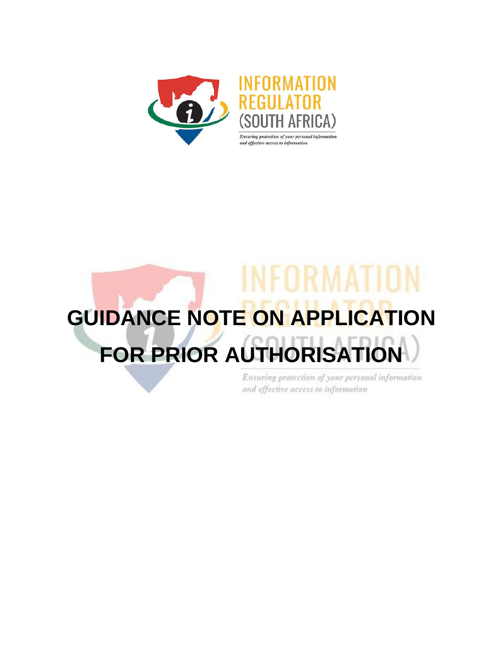

# **GUIDANCE NOTE ON APPLICATION FOR PRIOR AUTHORISA**

Ensuring protection of your personal information and effective access to information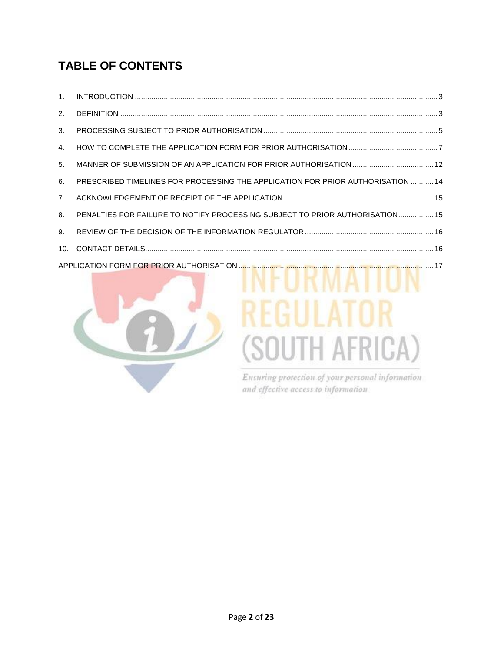# **TABLE OF CONTENTS**

| 2.             |                                                                                 |  |
|----------------|---------------------------------------------------------------------------------|--|
| 3.             |                                                                                 |  |
| 4.             |                                                                                 |  |
| 5 <sub>1</sub> |                                                                                 |  |
| 6.             | PRESCRIBED TIMELINES FOR PROCESSING THE APPLICATION FOR PRIOR AUTHORISATION  14 |  |
| 7 <sup>1</sup> |                                                                                 |  |
| 8.             | PENALTIES FOR FAILURE TO NOTIFY PROCESSING SUBJECT TO PRIOR AUTHORISATION 15    |  |
| 9.             |                                                                                 |  |
|                |                                                                                 |  |
|                |                                                                                 |  |



# (SOUTH AFRICA)

Ensuring protection of your personal information and effective access to information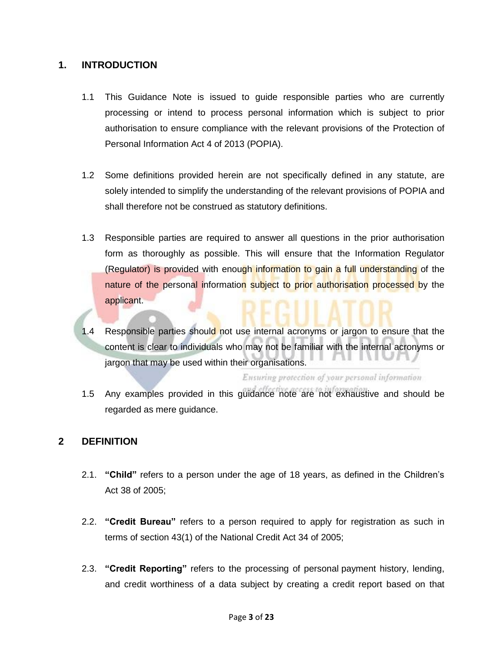#### **1. INTRODUCTION**

- 1.1 This Guidance Note is issued to guide responsible parties who are currently processing or intend to process personal information which is subject to prior authorisation to ensure compliance with the relevant provisions of the Protection of Personal Information Act 4 of 2013 (POPIA).
- 1.2 Some definitions provided herein are not specifically defined in any statute, are solely intended to simplify the understanding of the relevant provisions of POPIA and shall therefore not be construed as statutory definitions.
- 1.3 Responsible parties are required to answer all questions in the prior authorisation form as thoroughly as possible. This will ensure that the Information Regulator (Regulator) is provided with enough information to gain a full understanding of the nature of the personal information subject to prior authorisation processed by the applicant.
- 1.4 Responsible parties should not use internal acronyms or jargon to ensure that the content is clear to individuals who may not be familiar with the internal acronyms or jargon that may be used within their organisations.

Ensuring protection of your personal information

1.5 Any examples provided in this guidance note are not exhaustive and should be regarded as mere guidance.

#### **2 DEFINITION**

- 2.1. **"Child"** refers to a person under the age of 18 years, as defined in the Children's Act 38 of 2005;
- 2.2. **"Credit Bureau"** refers to a person required to apply for registration as such in terms of section 43(1) of the National Credit Act 34 of 2005;
- 2.3. **"Credit Reporting"** refers to the processing of personal payment history, lending, and credit worthiness of a data subject by creating a credit report based on that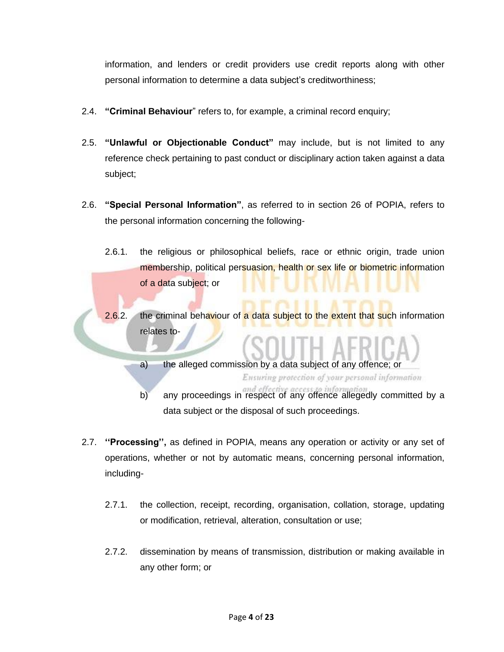information, and lenders or credit providers use credit reports along with other personal information to determine a data subject's creditworthiness;

- 2.4. **"Criminal Behaviour**" refers to, for example, a criminal record enquiry;
- 2.5. **"Unlawful or Objectionable Conduct"** may include, but is not limited to any reference check pertaining to past conduct or disciplinary action taken against a data subject;
- 2.6. **"Special Personal Information"**, as referred to in section 26 of POPIA, refers to the personal information concerning the following-
	- 2.6.1. the religious or philosophical beliefs, race or ethnic origin, trade union membership, political persuasion, health or sex life or biometric information of a data subject; or
	- 2.6.2. the criminal behaviour of a data subject to the extent that such information relates to-

a) the alleged commission by a data subject of any offence; or Ensuring protection of your personal information

- b) any proceedings in respect of any offence allegedly committed by a data subject or the disposal of such proceedings.
- 2.7. **''Processing'',** as defined in POPIA, means any operation or activity or any set of operations, whether or not by automatic means, concerning personal information, including-
	- 2.7.1. the collection, receipt, recording, organisation, collation, storage, updating or modification, retrieval, alteration, consultation or use;
	- 2.7.2. dissemination by means of transmission, distribution or making available in any other form; or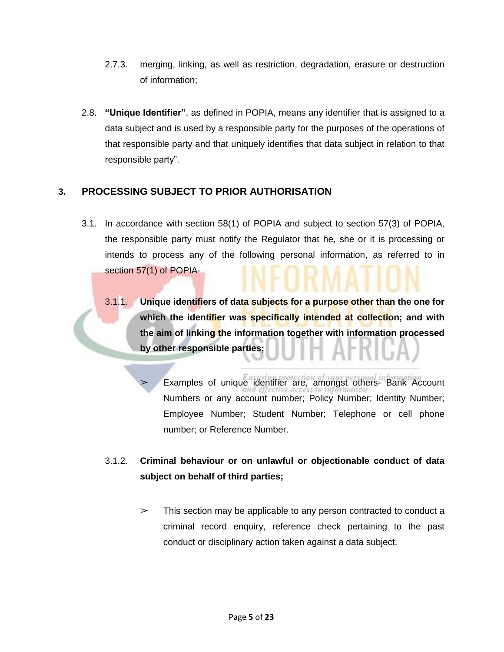- 2.7.3. merging, linking, as well as restriction, degradation, erasure or destruction of information;
- 2.8. **"Unique Identifier"**, as defined in POPIA, means any identifier that is assigned to a data subject and is used by a responsible party for the purposes of the operations of that responsible party and that uniquely identifies that data subject in relation to that responsible party".

#### **3. PROCESSING SUBJECT TO PRIOR AUTHORISATION**

- 3.1. In accordance with section 58(1) of POPIA and subject to section 57(3) of POPIA, the responsible party must notify the Regulator that he, she or it is processing or intends to process any of the following personal information, as referred to in section [57\(](https://popia.co.za/section-57-processing-subject-to-prior-authorisation/)1) of POPIA-
	- 3.1.1. **Unique identifiers of data subjects for a purpose other than the one for which the identifier was specifically intended at collection; and with the aim of linking the information together with information processed by other responsible parties;**

Examples of unique identifier are, amongst others- Bank Account Numbers or any account number; Policy Number; Identity Number; Employee Number; Student Number; Telephone or cell phone number; or Reference Number.

- 3.1.2. **Criminal behaviour or on unlawful or objectionable conduct of data subject on behalf of third parties;**
	- $\geq$  This section may be applicable to any person contracted to conduct a criminal record enquiry, reference check pertaining to the past conduct or disciplinary action taken against a data subject.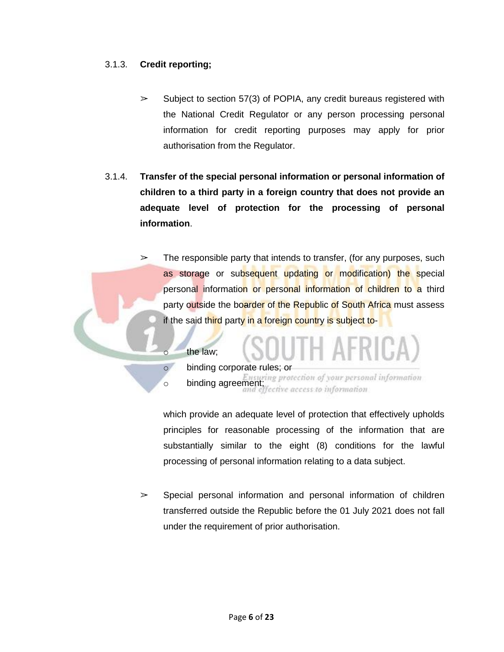#### 3.1.3. **Credit reporting;**

- $\geq$  Subject to section 57(3) of POPIA, any credit bureaus registered with the National Credit Regulator or any person processing personal information for credit reporting purposes may apply for prior authorisation from the Regulator.
- 3.1.4. **Transfer of the special personal information or personal information of children to a third party in a foreign country that does not provide an adequate level of protection for the processing of personal information**.
	- $\geq$  The responsible party that intends to transfer, (for any purposes, such as storage or subsequent updating or modification) the special personal information or personal information of children to a third party outside the boarder of the Republic of South Africa must assess if the said third party in a foreign country is subject to-

#### o the law;

o binding corporate rules; or

**binding agreement;**<br>**binding agreement;**<br>**binding agreement;**<br>**differencess to information** 

which provide an adequate level of protection that effectively upholds principles for reasonable processing of the information that are substantially similar to the eight (8) conditions for the lawful processing of personal information relating to a data subject.

 $\geq$  Special personal information and personal information of children transferred outside the Republic before the 01 July 2021 does not fall under the requirement of prior authorisation.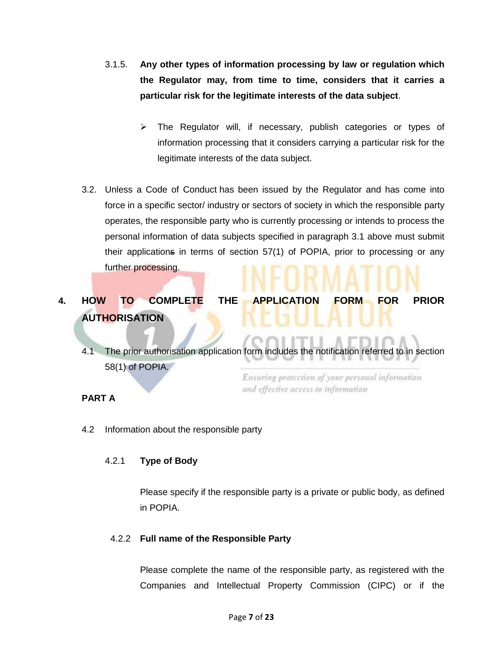- 3.1.5. **Any other types of information processing by law or regulation which the Regulator may, from time to time, considers that it carries a particular risk for the legitimate interests of the data subject**.
	- $\triangleright$  The Regulator will, if necessary, publish categories or types of information processing that it considers carrying a particular risk for the legitimate interests of the data subject.
- 3.2. Unless a Code of [Conduct](https://popia.co.za/protection-of-personal-information-act-popia/chapter-7/) has been issued by the Regulator and has come into force in a specific sector/ industry or sectors of society in which the responsible party operates, the responsible party who is currently processing or intends to process the personal information of data subjects specified in paragraph 3.1 above must submit their applications in terms of section 57(1) of POPIA, prior to processing or any further processing.

**4. HOW TO COMPLETE THE APPLICATION FORM FOR PRIOR AUTHORISATION**

4.1 The prior authorisation application form includes the notification referred to in section 58(1) of POPIA.

Ensuring protection of your personal information and effective access to information

#### **PART A**

4.2 Information about the responsible party

#### 4.2.1 **Type of Body**

Please specify if the responsible party is a private or public body, as defined in POPIA.

#### 4.2.2 **Full name of the Responsible Party**

Please complete the name of the responsible party, as registered with the Companies and Intellectual Property Commission (CIPC) or if the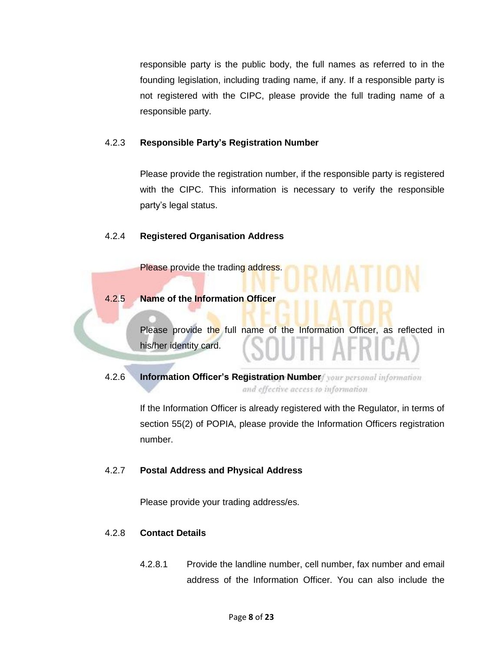responsible party is the public body, the full names as referred to in the founding legislation, including trading name, if any. If a responsible party is not registered with the CIPC, please provide the full trading name of a responsible party.

#### 4.2.3 **Responsible Party's Registration Number**

Please provide the registration number, if the responsible party is registered with the CIPC. This information is necessary to verify the responsible party's legal status.

#### 4.2.4 **Registered Organisation Address**

4.2.5 **Name of the Information Officer**

Please provide the trading address.

Please provide the full name of the Information Officer, as reflected in his/her identity card.

**4.2.6 Information Officer's Registration Number** *four personal information* and effective access to information

> If the Information Officer is already registered with the Regulator, in terms of section 55(2) of POPIA, please provide the Information Officers registration number.

#### 4.2.7 **Postal Address and Physical Address**

Please provide your trading address/es.

#### 4.2.8 **Contact Details**

4.2.8.1 Provide the landline number, cell number, fax number and email address of the Information Officer. You can also include the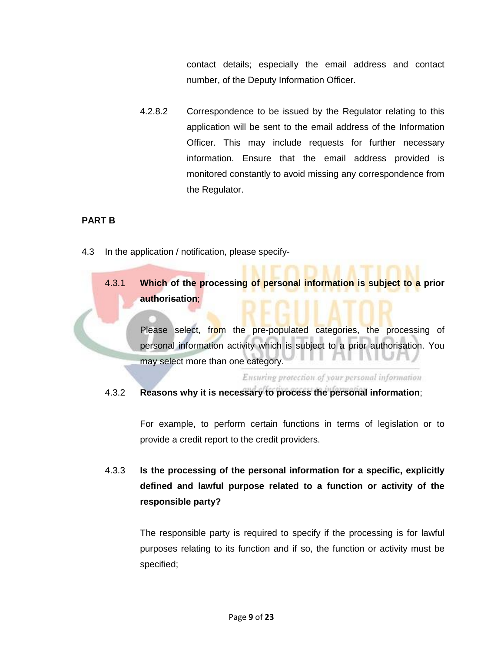contact details; especially the email address and contact number, of the Deputy Information Officer.

4.2.8.2 Correspondence to be issued by the Regulator relating to this application will be sent to the email address of the Information Officer. This may include requests for further necessary information. Ensure that the email address provided is monitored constantly to avoid missing any correspondence from the Regulator.

#### **PART B**

- 4.3 In the application / notification, please specify-
	- 4.3.1 **Which of the processing of personal information is subject to a prior authorisation**;

Please select, from the pre-populated categories, the processing of personal information activity which is subject to a prior authorisation. You may select more than one category.

Ensuring protection of your personal information

#### 4.3.2 **Reasons why it is necessary to process the personal information**;

For example, to perform certain functions in terms of legislation or to provide a credit report to the credit providers.

4.3.3 **Is the processing of the personal information for a specific, explicitly defined and lawful purpose related to a function or activity of the responsible party?**

> The responsible party is required to specify if the processing is for lawful purposes relating to its function and if so, the function or activity must be specified;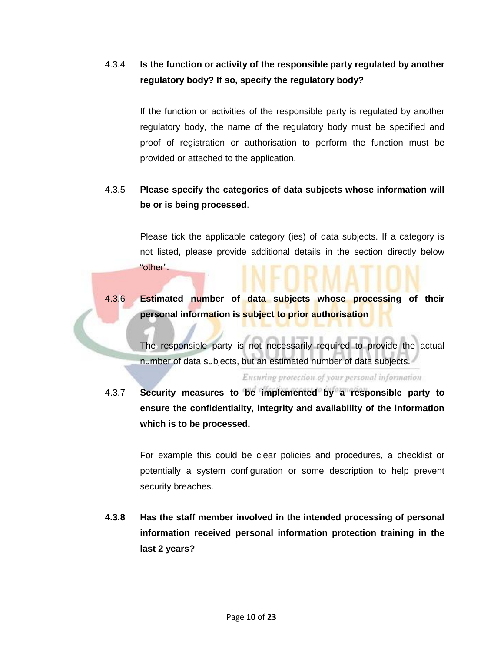# 4.3.4 **Is the function or activity of the responsible party regulated by another regulatory body? If so, specify the regulatory body?**

If the function or activities of the responsible party is regulated by another regulatory body, the name of the regulatory body must be specified and proof of registration or authorisation to perform the function must be provided or attached to the application.

### 4.3.5 **Please specify the categories of data subjects whose information will be or is being processed**.

Please tick the applicable category (ies) of data subjects. If a category is not listed, please provide additional details in the section directly below "other".

# 4.3.6 **Estimated number of data subjects whose processing of their personal information is subject to prior authorisation**

The responsible party is not necessarily required to provide the actual number of data subjects, but an estimated number of data subjects.

Ensuring protection of your personal information

4.3.7 **Security measures to be implemented by a responsible party to ensure the confidentiality, integrity and availability of the information which is to be processed.**

> For example this could be clear policies and procedures, a checklist or potentially a system configuration or some description to help prevent security breaches.

**4.3.8 Has the staff member involved in the intended processing of personal information received personal information protection training in the last 2 years?**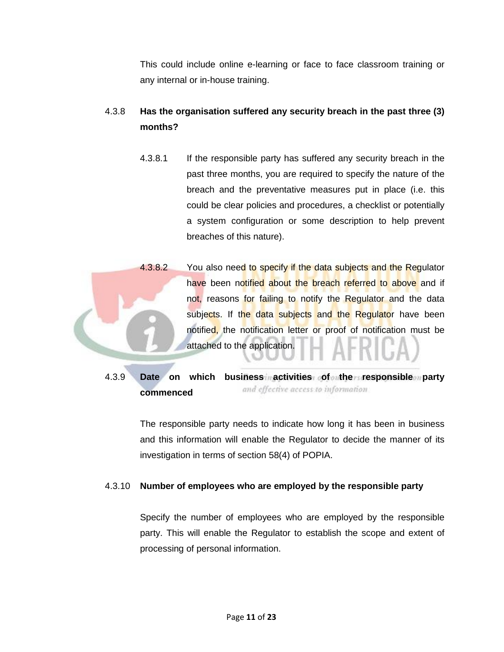This could include online e-learning or face to face classroom training or any internal or in-house training.

# 4.3.8 **Has the organisation suffered any security breach in the past three (3) months?**

4.3.8.1 If the responsible party has suffered any security breach in the past three months, you are required to specify the nature of the breach and the preventative measures put in place (i.e. this could be clear policies and procedures, a checklist or potentially a system configuration or some description to help prevent breaches of this nature).



4.3.9 **Date on which business activities of the responsible party** and effective access to information **commenced**

> The responsible party needs to indicate how long it has been in business and this information will enable the Regulator to decide the manner of its investigation in terms of section 58(4) of POPIA.

#### 4.3.10 **Number of employees who are employed by the responsible party**

Specify the number of employees who are employed by the responsible party. This will enable the Regulator to establish the scope and extent of processing of personal information.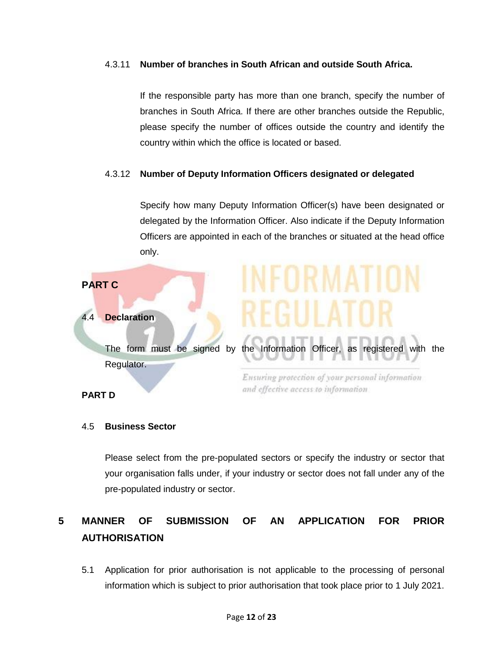#### 4.3.11 **Number of branches in South African and outside South Africa.**

If the responsible party has more than one branch, specify the number of branches in South Africa. If there are other branches outside the Republic, please specify the number of offices outside the country and identify the country within which the office is located or based.

#### 4.3.12 **Number of Deputy Information Officers designated or delegated**

Specify how many Deputy Information Officer(s) have been designated or delegated by the Information Officer. Also indicate if the Deputy Information Officers are appointed in each of the branches or situated at the head office only.



4.5 **Business Sector**

# Please select from the pre-populated sectors or specify the industry or sector that your organisation falls under, if your industry or sector does not fall under any of the pre-populated industry or sector.

# **5 MANNER OF SUBMISSION OF AN APPLICATION FOR PRIOR AUTHORISATION**

5.1 Application for prior authorisation is not applicable to the processing of personal information which is subject to prior authorisation that took place prior to 1 July 2021.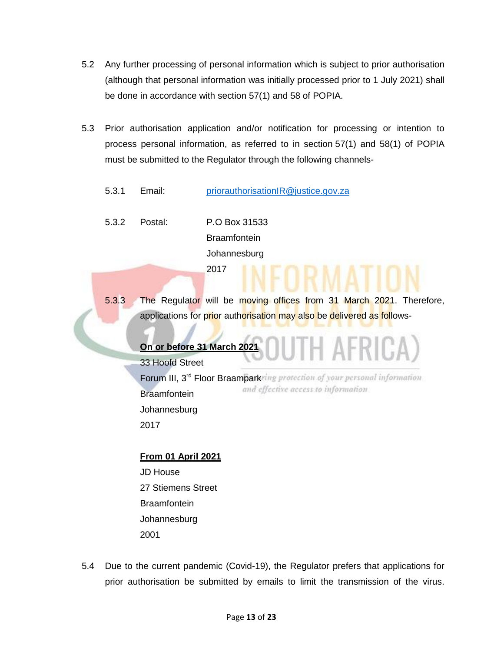- 5.2 Any further processing of personal information which is subject to prior authorisation (although that personal information was initially processed prior to 1 July 2021) shall be done in accordance with section 57(1) and 58 of POPIA.
- 5.3 Prior authorisation application and/or notification for processing or intention to process personal information, as referred to in section [57\(](https://popia.co.za/section-57-processing-subject-to-prior-authorisation/)1) and 58(1) of POPIA must be submitted to the Regulator through the following channels-
	- 5.3.1 Email: [priorauthorisationIR@justice.gov.za](mailto:priorauthorisationIR@justice.gov.za)
	- 5.3.2 Postal: P.O Box 31533 **Braamfontein** Johannesburg 2017
	- 5.3.3 The Regulator will be moving offices from 31 March 2021. Therefore, applications for prior authorisation may also be delivered as follows-

#### **On or before 31 March 2021**

33 Hoofd Street Forum III, 3<sup>rd</sup> Floor Braampark and effective access to information **Braamfontein Johannesburg** 2017

**From 01 April 2021** JD House 27 Stiemens Street **Braamfontein Johannesburg** 2001

5.4 Due to the current pandemic (Covid-19), the Regulator prefers that applications for prior authorisation be submitted by emails to limit the transmission of the virus.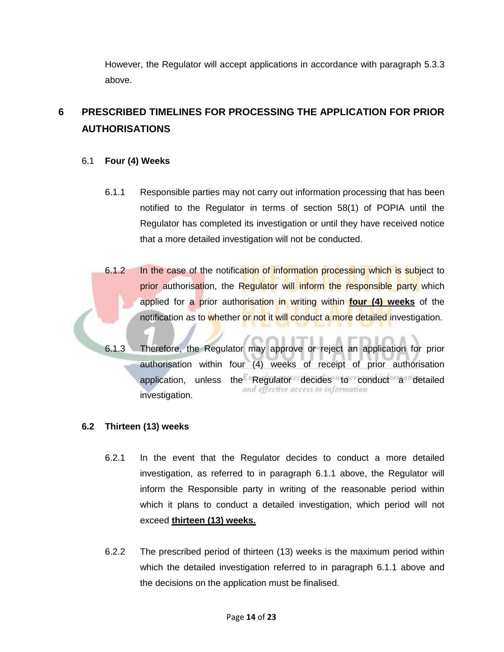However, the Regulator will accept applications in accordance with paragraph 5.3.3 above.

# **6 PRESCRIBED TIMELINES FOR PROCESSING THE APPLICATION FOR PRIOR AUTHORISATIONS**

#### 6.1 **Four (4) Weeks**

- 6.1.1 Responsible parties may not carry out information processing that has been notified to the Regulator in terms of section 58(1) of POPIA until the Regulator has completed its investigation or until they have received notice that a more detailed investigation will not be conducted.
- 6.1.2 In the case of the notification of information processing which is subject to prior authorisation, the Regulator will inform the responsible party which applied for a prior authorisation in writing within **four (4) weeks** of the notification as to whether or not it will conduct a more detailed investigation.
	- 6.1.3 Therefore, the Regulator may approve or reject an application for prior authorisation within four (4) weeks of receipt of prior authorisation application, unless the Regulator decides  $\frac{d}{dt}$  conduct a detailed investigation.

#### **6.2 Thirteen (13) weeks**

- 6.2.1 In the event that the Regulator decides to conduct a more detailed investigation, as referred to in paragraph 6.1.1 above, the Regulator will inform the Responsible party in writing of the reasonable period within which it plans to conduct a detailed investigation, which period will not exceed **thirteen (13) weeks.**
- 6.2.2 The prescribed period of thirteen (13) weeks is the maximum period within which the detailed investigation referred to in paragraph 6.1.1 above and the decisions on the application must be finalised.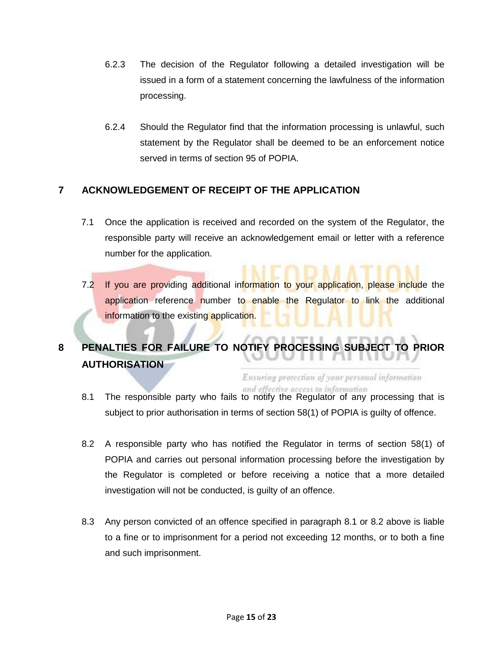- 6.2.3 The decision of the Regulator following a detailed investigation will be issued in a form of a statement concerning the lawfulness of the information processing.
- 6.2.4 Should the Regulator find that the information processing is unlawful, such statement by the Regulator shall be deemed to be an enforcement notice served in terms of section 95 of POPIA.

#### **7 ACKNOWLEDGEMENT OF RECEIPT OF THE APPLICATION**

- 7.1 Once the application is received and recorded on the system of the Regulator, the responsible party will receive an acknowledgement email or letter with a reference number for the application.
- 7.2 If you are providing additional information to your application, please include the application reference number to enable the Regulator to link the additional information to the existing application.

# **8 PENALTIES FOR FAILURE TO NOTIFY PROCESSING SUBJECT TO PRIOR AUTHORISATION**

Ensuring protection of your personal information and effective access to information

- 8.1 The responsible party who fails to notify the Regulator of any processing that is subject to prior authorisation in terms of section 58(1) of POPIA is guilty of offence.
- 8.2 A responsible party who has notified the Regulator in terms of section 58(1) of POPIA and carries out personal information processing before the investigation by the Regulator is completed or before receiving a notice that a more detailed investigation will not be conducted, is guilty of an offence.
- 8.3 Any person convicted of an offence specified in paragraph 8.1 or 8.2 above is liable to a fine or to imprisonment for a period not exceeding 12 months, or to both a fine and such imprisonment.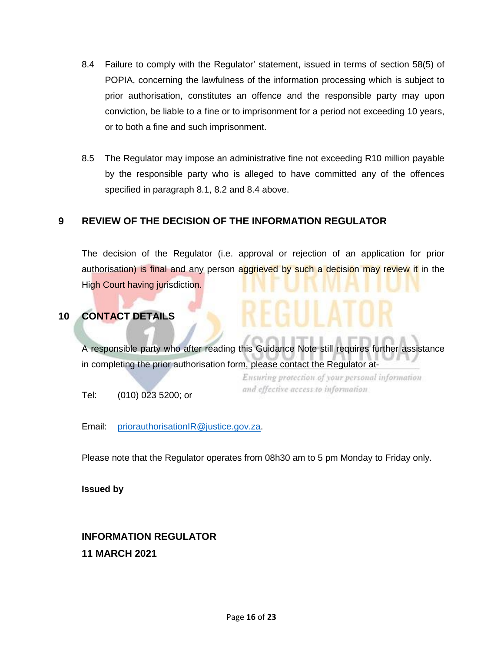- 8.4 Failure to comply with the Regulator' statement, issued in terms of section 58(5) of POPIA, concerning the lawfulness of the information processing which is subject to prior authorisation, constitutes an offence and the responsible party may upon conviction, be liable to a fine or to imprisonment for a period not exceeding 10 years, or to both a fine and such imprisonment.
- 8.5 The Regulator may impose an administrative fine not exceeding R10 million payable by the responsible party who is alleged to have committed any of the offences specified in paragraph 8.1, 8.2 and 8.4 above.

#### **9 REVIEW OF THE DECISION OF THE INFORMATION REGULATOR**

The decision of the Regulator (i.e. approval or rejection of an application for prior authorisation) is final and any person aggrieved by such a decision may review it in the High Court having jurisdiction.

#### **10 CONTACT DETAILS**

A responsible party who after reading this Guidance Note still requires further assistance in completing the prior authorisation form, please contact the Regulator at-

> Ensuring protection of your personal information and effective access to information

Tel: (010) 023 5200; or

Email: [priorauthorisationIR@justice.gov.za.](mailto:priorauthorisationIR@justice.gov.za)

Please note that the Regulator operates from 08h30 am to 5 pm Monday to Friday only.

#### **Issued by**

# **INFORMATION REGULATOR 11 MARCH 2021**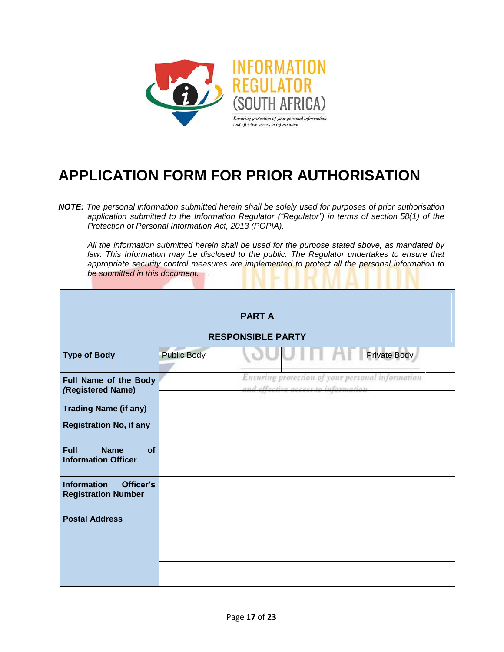

# **APPLICATION FORM FOR PRIOR AUTHORISATION**

*NOTE: The personal information submitted herein shall be solely used for purposes of prior authorisation application submitted to the Information Regulator ("Regulator") in terms of section 58(1) of the Protection of Personal Information Act, 2013 (POPIA).*

*All the information submitted herein shall be used for the purpose stated above, as mandated by law. This Information may be disclosed to the public. The Regulator undertakes to ensure that appropriate security control measures are implemented to protect all the personal information to be submitted in this document.*

|                                                                |                    | <b>PART A</b>                                                                         |  |  |  |  |  |  |  |
|----------------------------------------------------------------|--------------------|---------------------------------------------------------------------------------------|--|--|--|--|--|--|--|
| <b>RESPONSIBLE PARTY</b>                                       |                    |                                                                                       |  |  |  |  |  |  |  |
| <b>Type of Body</b>                                            | <b>Public Body</b> | Private Body                                                                          |  |  |  |  |  |  |  |
| Full Name of the Body<br>(Registered Name)                     |                    | Ensuring protection of your personal information<br>and other tive access information |  |  |  |  |  |  |  |
| <b>Trading Name (if any)</b>                                   |                    |                                                                                       |  |  |  |  |  |  |  |
| <b>Registration No, if any</b>                                 |                    |                                                                                       |  |  |  |  |  |  |  |
| <b>Full</b><br><b>Name</b><br>of<br><b>Information Officer</b> |                    |                                                                                       |  |  |  |  |  |  |  |
| <b>Information</b><br>Officer's<br><b>Registration Number</b>  |                    |                                                                                       |  |  |  |  |  |  |  |
| <b>Postal Address</b>                                          |                    |                                                                                       |  |  |  |  |  |  |  |
|                                                                |                    |                                                                                       |  |  |  |  |  |  |  |
|                                                                |                    |                                                                                       |  |  |  |  |  |  |  |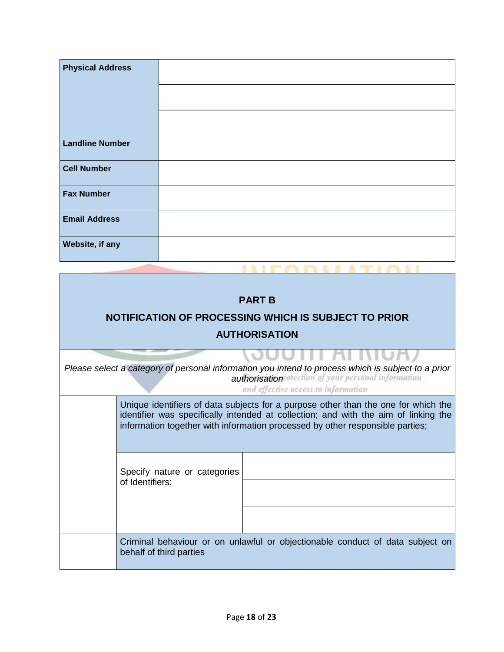| <b>Physical Address</b> |  |
|-------------------------|--|
| <b>Landline Number</b>  |  |
| <b>Cell Number</b>      |  |
| <b>Fax Number</b>       |  |
| <b>Email Address</b>    |  |
| Website, if any         |  |

вĸ

 $1.1$ 

**ABILITION** 

| <b>PART B</b><br>NOTIFICATION OF PROCESSING WHICH IS SUBJECT TO PRIOR<br><b>AUTHORISATION</b> |                                                                                                                                                                                                               |                                                                                                                                                                                                                                                            |  |  |  |  |  |  |
|-----------------------------------------------------------------------------------------------|---------------------------------------------------------------------------------------------------------------------------------------------------------------------------------------------------------------|------------------------------------------------------------------------------------------------------------------------------------------------------------------------------------------------------------------------------------------------------------|--|--|--|--|--|--|
|                                                                                               | <b>JUUTH AFINU</b><br>Please select a category of personal information you intend to process which is subject to a prior<br>authorisation of cour personal information<br>and effective access to information |                                                                                                                                                                                                                                                            |  |  |  |  |  |  |
|                                                                                               |                                                                                                                                                                                                               | Unique identifiers of data subjects for a purpose other than the one for which the<br>identifier was specifically intended at collection; and with the aim of linking the<br>information together with information processed by other responsible parties; |  |  |  |  |  |  |
|                                                                                               | Specify nature or categories<br>of Identifiers:                                                                                                                                                               |                                                                                                                                                                                                                                                            |  |  |  |  |  |  |
|                                                                                               | Criminal behaviour or on unlawful or objectionable conduct of data subject on<br>behalf of third parties                                                                                                      |                                                                                                                                                                                                                                                            |  |  |  |  |  |  |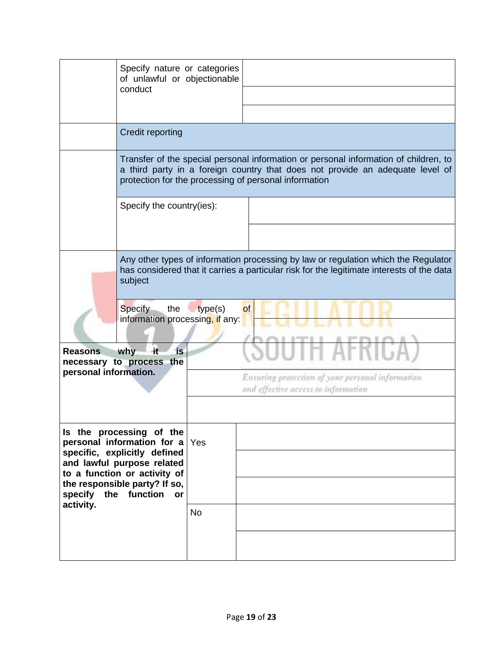|                                   | Specify nature or categories<br>of unlawful or objectionable<br>conduct                                                                                                                            |                  |                                                                                                                                                                                                                                |  |  |  |  |  |
|-----------------------------------|----------------------------------------------------------------------------------------------------------------------------------------------------------------------------------------------------|------------------|--------------------------------------------------------------------------------------------------------------------------------------------------------------------------------------------------------------------------------|--|--|--|--|--|
|                                   | Credit reporting                                                                                                                                                                                   |                  |                                                                                                                                                                                                                                |  |  |  |  |  |
|                                   |                                                                                                                                                                                                    |                  | Transfer of the special personal information or personal information of children, to<br>a third party in a foreign country that does not provide an adequate level of<br>protection for the processing of personal information |  |  |  |  |  |
|                                   | Specify the country(ies):                                                                                                                                                                          |                  |                                                                                                                                                                                                                                |  |  |  |  |  |
|                                   | Any other types of information processing by law or regulation which the Regulator<br>has considered that it carries a particular risk for the legitimate interests of the data<br>subject         |                  |                                                                                                                                                                                                                                |  |  |  |  |  |
| <b>Reasons</b>                    | Specify<br>$-$ the<br>information processing, if any:<br>is<br>why<br>-it                                                                                                                          | type(s)          | of                                                                                                                                                                                                                             |  |  |  |  |  |
| personal information.             | necessary to process the                                                                                                                                                                           |                  | Ensuring protection of your personal information<br>and effective access to information                                                                                                                                        |  |  |  |  |  |
| specify the function<br>activity. | Is the processing of the<br>personal information for a<br>specific, explicitly defined<br>and lawful purpose related<br>to a function or activity of<br>the responsible party? If so,<br><b>or</b> | Yes<br><b>No</b> |                                                                                                                                                                                                                                |  |  |  |  |  |
|                                   |                                                                                                                                                                                                    |                  |                                                                                                                                                                                                                                |  |  |  |  |  |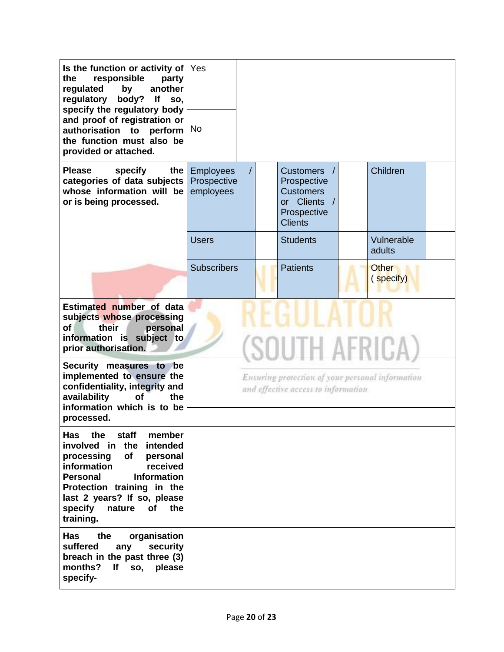| Is the function or activity of<br>responsible<br>the<br>party<br>regulated<br>another<br>by<br>regulatory<br>body?<br>lf<br>SO,<br>specify the regulatory body<br>and proof of registration or                                                                                      | Yes                                                                                     |  |                                                                                                    |  |                      |  |
|-------------------------------------------------------------------------------------------------------------------------------------------------------------------------------------------------------------------------------------------------------------------------------------|-----------------------------------------------------------------------------------------|--|----------------------------------------------------------------------------------------------------|--|----------------------|--|
| authorisation to perform<br>the function must also be<br>provided or attached.                                                                                                                                                                                                      | <b>No</b>                                                                               |  |                                                                                                    |  |                      |  |
| <b>Please</b><br>specify<br>the<br>categories of data subjects<br>whose information will be<br>or is being processed.                                                                                                                                                               | <b>Employees</b><br>Prospective<br>employees                                            |  | <b>Customers</b><br>Prospective<br><b>Customers</b><br>or Clients<br>Prospective<br><b>Clients</b> |  | Children             |  |
|                                                                                                                                                                                                                                                                                     | <b>Users</b>                                                                            |  | <b>Students</b>                                                                                    |  | Vulnerable<br>adults |  |
|                                                                                                                                                                                                                                                                                     | <b>Subscribers</b>                                                                      |  | <b>Patients</b>                                                                                    |  | Other<br>(specify)   |  |
| Estimated number of data<br>subjects whose processing<br>Οf<br>personal<br>their<br>information is subject to<br>prior authorisation.                                                                                                                                               |                                                                                         |  |                                                                                                    |  |                      |  |
| Security measures to<br>be<br>implemented to ensure the<br>confidentiality, integrity and<br>availability<br><b>of</b><br>the<br>information which is to be<br>processed.                                                                                                           | Ensuring protection of your personal information<br>and effective access to information |  |                                                                                                    |  |                      |  |
| staff<br>Has<br>the<br>member<br>involved in the<br>intended<br>processing<br>of<br>personal<br>information<br>received<br><b>Information</b><br><b>Personal</b><br>Protection training in the<br>last 2 years? If so, please<br>specify<br>nature<br><b>of</b><br>the<br>training. |                                                                                         |  |                                                                                                    |  |                      |  |
| <b>Has</b><br>the<br>organisation<br>suffered<br>any<br>security<br>breach in the past three (3)<br>months?<br>lf<br>SO,<br>please<br>specify-                                                                                                                                      |                                                                                         |  |                                                                                                    |  |                      |  |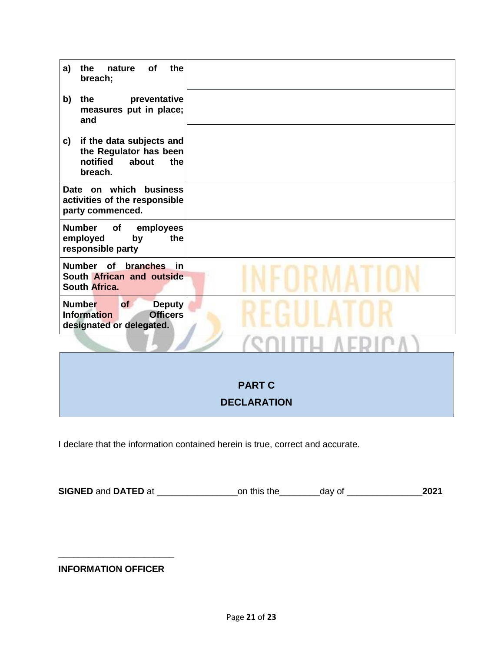| of<br>the<br>the<br>a)<br>nature<br>breach;                                                               |               |
|-----------------------------------------------------------------------------------------------------------|---------------|
| the<br>preventative<br>b)<br>measures put in place;<br>and                                                |               |
| if the data subjects and<br>c)<br>the Regulator has been<br>notified<br>about<br>the<br>breach.           |               |
| Date on which business<br>activities of the responsible<br>party commenced.                               |               |
| <b>Number</b><br>of<br>employees<br>employed<br>the<br>by<br>responsible party                            |               |
| Number of branches<br>in<br>South African and outside<br>South Africa.                                    |               |
| <b>Number</b><br>of<br><b>Deputy</b><br><b>Officers</b><br><b>Information</b><br>designated or delegated. |               |
|                                                                                                           |               |
|                                                                                                           |               |
|                                                                                                           | <b>PART C</b> |

# **DECLARATION**

I declare that the information contained herein is true, correct and accurate.

**SIGNED** and **DATED** at \_\_\_\_\_\_\_\_\_\_\_\_\_\_\_\_on this the\_\_\_\_\_\_\_\_day of \_\_\_\_\_\_\_\_\_\_\_\_\_\_\_**2021**

**INFORMATION OFFICER**

**\_\_\_\_\_\_\_\_\_\_\_\_\_\_\_\_\_\_\_\_\_\_\_**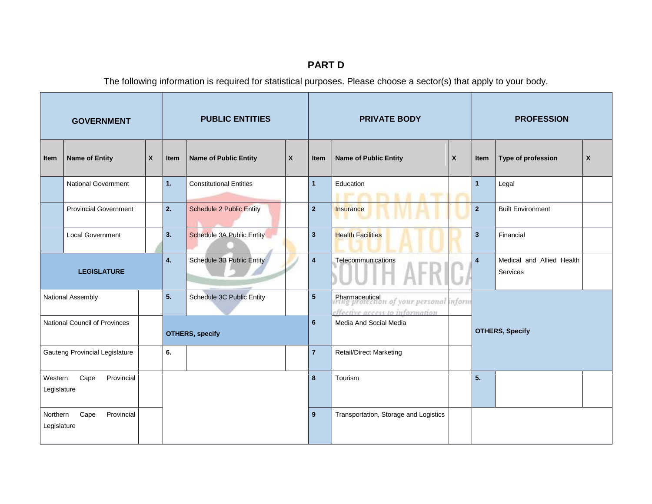# **PART D**

The following information is required for statistical purposes. Please choose a sector(s) that apply to your body.

| <b>GOVERNMENT</b>                             |                              |   | <b>PUBLIC ENTITIES</b> |                                  |                | <b>PRIVATE BODY</b>                   |                                                                                                |                        | <b>PROFESSION</b>       |                                       |   |
|-----------------------------------------------|------------------------------|---|------------------------|----------------------------------|----------------|---------------------------------------|------------------------------------------------------------------------------------------------|------------------------|-------------------------|---------------------------------------|---|
| Item                                          | <b>Name of Entity</b>        | X | Item                   | <b>Name of Public Entity</b>     | X              | Item                                  | <b>Name of Public Entity</b>                                                                   | X                      | Item                    | Type of profession                    | X |
|                                               | <b>National Government</b>   |   | 1.                     | <b>Constitutional Entities</b>   |                | $\mathbf{1}$                          | Education                                                                                      |                        | $\mathbf{1}$            | Legal                                 |   |
|                                               | <b>Provincial Government</b> |   | 2.                     | <b>Schedule 2 Public Entity</b>  |                | $\overline{2}$                        | Insurance                                                                                      |                        | $\overline{2}$          | <b>Built Environment</b>              |   |
|                                               | <b>Local Government</b>      |   | 3.                     | <b>Schedule 3A Public Entity</b> |                | $\mathbf{3}$                          | <b>Health Facilities</b>                                                                       |                        | $\overline{\mathbf{3}}$ | Financial                             |   |
| <b>LEGISLATURE</b>                            |                              |   | 4.                     | Schedule 3B Public Entity        |                | $\overline{4}$                        | Telecommunications                                                                             |                        | $\overline{4}$          | Medical and Allied Health<br>Services |   |
|                                               | National Assembly            |   | 5.                     | Schedule 3C Public Entity        |                | $5\phantom{.0}$                       | Pharmaceutical<br>irring protection of your personal inform<br>effective access to information |                        |                         |                                       |   |
| National Council of Provinces                 |                              |   | <b>OTHERS, specify</b> |                                  | $6\phantom{1}$ | Media And Social Media                |                                                                                                | <b>OTHERS, Specify</b> |                         |                                       |   |
| Gauteng Provincial Legislature                |                              |   | 6.                     |                                  |                | $\overline{7}$                        | <b>Retail/Direct Marketing</b>                                                                 |                        |                         |                                       |   |
| Western<br>Cape<br>Provincial<br>Legislature  |                              |   |                        |                                  | 8              | Tourism                               |                                                                                                | 5.                     |                         |                                       |   |
| Northern<br>Cape<br>Provincial<br>Legislature |                              |   |                        |                                  | 9              | Transportation, Storage and Logistics |                                                                                                |                        |                         |                                       |   |